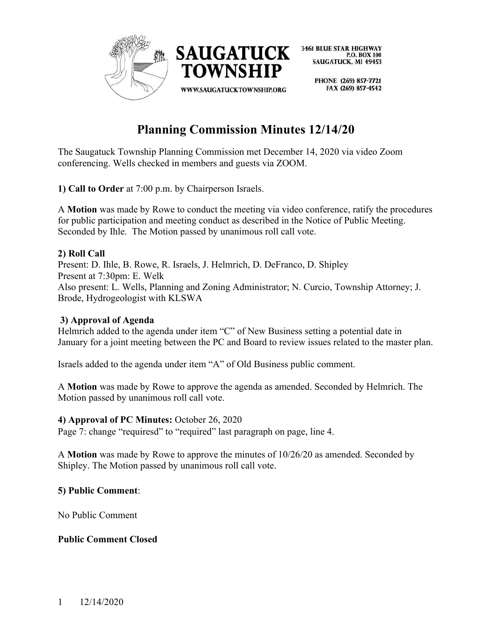

> PHONE (269) 857-7721 FAX (269) 857-4542

# **Planning Commission Minutes 12/14/20**

The Saugatuck Township Planning Commission met December 14, 2020 via video Zoom conferencing. Wells checked in members and guests via ZOOM.

**1) Call to Order** at 7:00 p.m. by Chairperson Israels.

A **Motion** was made by Rowe to conduct the meeting via video conference, ratify the procedures for public participation and meeting conduct as described in the Notice of Public Meeting. Seconded by Ihle. The Motion passed by unanimous roll call vote.

# **2) Roll Call**

Present: D. Ihle, B. Rowe, R. Israels, J. Helmrich, D. DeFranco, D. Shipley Present at 7:30pm: E. Welk Also present: L. Wells, Planning and Zoning Administrator; N. Curcio, Township Attorney; J. Brode, Hydrogeologist with KLSWA

#### **3) Approval of Agenda**

Helmrich added to the agenda under item "C" of New Business setting a potential date in January for a joint meeting between the PC and Board to review issues related to the master plan.

Israels added to the agenda under item "A" of Old Business public comment.

A **Motion** was made by Rowe to approve the agenda as amended. Seconded by Helmrich. The Motion passed by unanimous roll call vote.

#### **4) Approval of PC Minutes:** October 26, 2020

Page 7: change "requiresd" to "required" last paragraph on page, line 4.

A **Motion** was made by Rowe to approve the minutes of 10/26/20 as amended. Seconded by Shipley. The Motion passed by unanimous roll call vote.

#### **5) Public Comment**:

No Public Comment

#### **Public Comment Closed**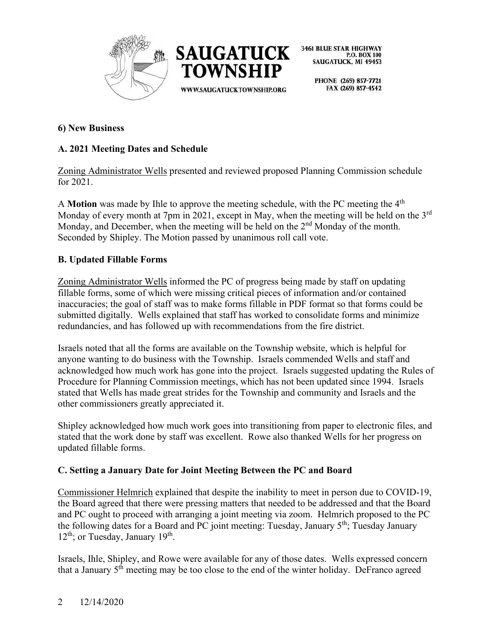



PHONE (269) 857-7721 FAX (269) 857-4542

#### **6) New Business**

## **A. 2021 Meeting Dates and Schedule**

Zoning Administrator Wells presented and reviewed proposed Planning Commission schedule for 2021.

A **Motion** was made by Ihle to approve the meeting schedule, with the PC meeting the 4<sup>th</sup> Monday of every month at 7pm in 2021, except in May, when the meeting will be held on the 3<sup>rd</sup> Monday, and December, when the meeting will be held on the  $2<sup>nd</sup>$  Monday of the month. Seconded by Shipley. The Motion passed by unanimous roll call vote.

#### **B. Updated Fillable Forms**

Zoning Administrator Wells informed the PC of progress being made by staff on updating fillable forms, some of which were missing critical pieces of information and/or contained inaccuracies; the goal of staff was to make forms fillable in PDF format so that forms could be submitted digitally. Wells explained that staff has worked to consolidate forms and minimize redundancies, and has followed up with recommendations from the fire district.

Israels noted that all the forms are available on the Township website, which is helpful for anyone wanting to do business with the Township. Israels commended Wells and staff and acknowledged how much work has gone into the project. Israels suggested updating the Rules of Procedure for Planning Commission meetings, which has not been updated since 1994. Israels stated that Wells has made great strides for the Township and community and Israels and the other commissioners greatly appreciated it.

Shipley acknowledged how much work goes into transitioning from paper to electronic files, and stated that the work done by staff was excellent. Rowe also thanked Wells for her progress on updated fillable forms.

#### **C. Setting a January Date for Joint Meeting Between the PC and Board**

Commissioner Helmrich explained that despite the inability to meet in person due to COVID-19, the Board agreed that there were pressing matters that needed to be addressed and that the Board and PC ought to proceed with arranging a joint meeting via zoom. Helmrich proposed to the PC the following dates for a Board and PC joint meeting: Tuesday, January  $5<sup>th</sup>$ ; Tuesday January  $12<sup>th</sup>$ ; or Tuesday, January  $19<sup>th</sup>$ .

Israels, Ihle, Shipley, and Rowe were available for any of those dates. Wells expressed concern that a January  $5<sup>th</sup>$  meeting may be too close to the end of the winter holiday. DeFranco agreed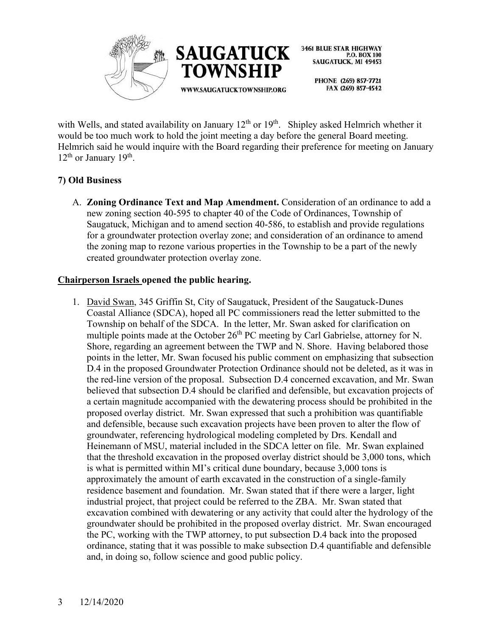

> PHONE (269) 857-7721 FAX (269) 857-4542

with Wells, and stated availability on January  $12^{th}$  or  $19^{th}$ . Shipley asked Helmrich whether it would be too much work to hold the joint meeting a day before the general Board meeting. Helmrich said he would inquire with the Board regarding their preference for meeting on January 12<sup>th</sup> or January 19<sup>th</sup>.

## **7) Old Business**

A. **Zoning Ordinance Text and Map Amendment.** Consideration of an ordinance to add a new zoning section 40-595 to chapter 40 of the Code of Ordinances, Township of Saugatuck, Michigan and to amend section 40-586, to establish and provide regulations for a groundwater protection overlay zone; and consideration of an ordinance to amend the zoning map to rezone various properties in the Township to be a part of the newly created groundwater protection overlay zone.

#### **Chairperson Israels opened the public hearing.**

1. David Swan, 345 Griffin St, City of Saugatuck, President of the Saugatuck-Dunes Coastal Alliance (SDCA), hoped all PC commissioners read the letter submitted to the Township on behalf of the SDCA. In the letter, Mr. Swan asked for clarification on multiple points made at the October 26<sup>th</sup> PC meeting by Carl Gabrielse, attorney for N. Shore, regarding an agreement between the TWP and N. Shore. Having belabored those points in the letter, Mr. Swan focused his public comment on emphasizing that subsection D.4 in the proposed Groundwater Protection Ordinance should not be deleted, as it was in the red-line version of the proposal. Subsection D.4 concerned excavation, and Mr. Swan believed that subsection D.4 should be clarified and defensible, but excavation projects of a certain magnitude accompanied with the dewatering process should be prohibited in the proposed overlay district. Mr. Swan expressed that such a prohibition was quantifiable and defensible, because such excavation projects have been proven to alter the flow of groundwater, referencing hydrological modeling completed by Drs. Kendall and Heinemann of MSU, material included in the SDCA letter on file. Mr. Swan explained that the threshold excavation in the proposed overlay district should be 3,000 tons, which is what is permitted within MI's critical dune boundary, because 3,000 tons is approximately the amount of earth excavated in the construction of a single-family residence basement and foundation. Mr. Swan stated that if there were a larger, light industrial project, that project could be referred to the ZBA. Mr. Swan stated that excavation combined with dewatering or any activity that could alter the hydrology of the groundwater should be prohibited in the proposed overlay district. Mr. Swan encouraged the PC, working with the TWP attorney, to put subsection D.4 back into the proposed ordinance, stating that it was possible to make subsection D.4 quantifiable and defensible and, in doing so, follow science and good public policy.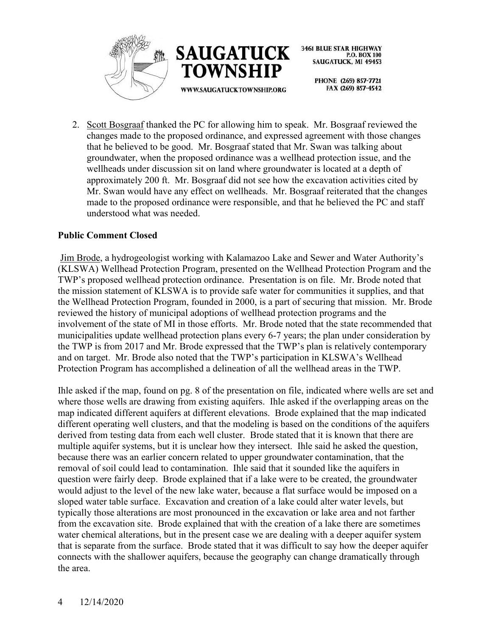



> PHONE (269) 857-7721 FAX (269) 857-4542

2. Scott Bosgraaf thanked the PC for allowing him to speak. Mr. Bosgraaf reviewed the changes made to the proposed ordinance, and expressed agreement with those changes that he believed to be good. Mr. Bosgraaf stated that Mr. Swan was talking about groundwater, when the proposed ordinance was a wellhead protection issue, and the wellheads under discussion sit on land where groundwater is located at a depth of approximately 200 ft. Mr. Bosgraaf did not see how the excavation activities cited by Mr. Swan would have any effect on wellheads. Mr. Bosgraaf reiterated that the changes made to the proposed ordinance were responsible, and that he believed the PC and staff understood what was needed.

#### **Public Comment Closed**

Jim Brode, a hydrogeologist working with Kalamazoo Lake and Sewer and Water Authority's (KLSWA) Wellhead Protection Program, presented on the Wellhead Protection Program and the TWP's proposed wellhead protection ordinance. Presentation is on file. Mr. Brode noted that the mission statement of KLSWA is to provide safe water for communities it supplies, and that the Wellhead Protection Program, founded in 2000, is a part of securing that mission. Mr. Brode reviewed the history of municipal adoptions of wellhead protection programs and the involvement of the state of MI in those efforts. Mr. Brode noted that the state recommended that municipalities update wellhead protection plans every 6-7 years; the plan under consideration by the TWP is from 2017 and Mr. Brode expressed that the TWP's plan is relatively contemporary and on target. Mr. Brode also noted that the TWP's participation in KLSWA's Wellhead Protection Program has accomplished a delineation of all the wellhead areas in the TWP.

Ihle asked if the map, found on pg. 8 of the presentation on file, indicated where wells are set and where those wells are drawing from existing aquifers. Ihle asked if the overlapping areas on the map indicated different aquifers at different elevations. Brode explained that the map indicated different operating well clusters, and that the modeling is based on the conditions of the aquifers derived from testing data from each well cluster. Brode stated that it is known that there are multiple aquifer systems, but it is unclear how they intersect. Ihle said he asked the question, because there was an earlier concern related to upper groundwater contamination, that the removal of soil could lead to contamination. Ihle said that it sounded like the aquifers in question were fairly deep. Brode explained that if a lake were to be created, the groundwater would adjust to the level of the new lake water, because a flat surface would be imposed on a sloped water table surface. Excavation and creation of a lake could alter water levels, but typically those alterations are most pronounced in the excavation or lake area and not farther from the excavation site. Brode explained that with the creation of a lake there are sometimes water chemical alterations, but in the present case we are dealing with a deeper aquifer system that is separate from the surface. Brode stated that it was difficult to say how the deeper aquifer connects with the shallower aquifers, because the geography can change dramatically through the area.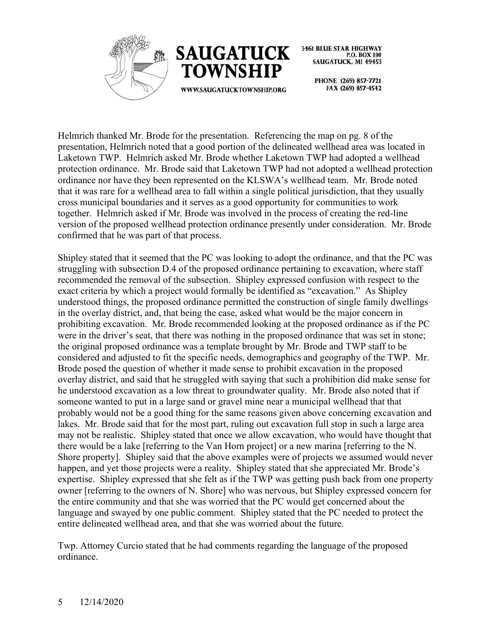



> PHONE (269) 857-7721 FAX (269) 857-4542

Helmrich thanked Mr. Brode for the presentation. Referencing the map on pg. 8 of the presentation, Helmrich noted that a good portion of the delineated wellhead area was located in Laketown TWP. Helmrich asked Mr. Brode whether Laketown TWP had adopted a wellhead protection ordinance. Mr. Brode said that Laketown TWP had not adopted a wellhead protection ordinance nor have they been represented on the KLSWA's wellhead team. Mr. Brode noted that it was rare for a wellhead area to fall within a single political jurisdiction, that they usually cross municipal boundaries and it serves as a good opportunity for communities to work together. Helmrich asked if Mr. Brode was involved in the process of creating the red-line version of the proposed wellhead protection ordinance presently under consideration. Mr. Brode confirmed that he was part of that process.

Shipley stated that it seemed that the PC was looking to adopt the ordinance, and that the PC was struggling with subsection D.4 of the proposed ordinance pertaining to excavation, where staff recommended the removal of the subsection. Shipley expressed confusion with respect to the exact criteria by which a project would formally be identified as "excavation." As Shipley understood things, the proposed ordinance permitted the construction of single family dwellings in the overlay district, and, that being the case, asked what would be the major concern in prohibiting excavation. Mr. Brode recommended looking at the proposed ordinance as if the PC were in the driver's seat, that there was nothing in the proposed ordinance that was set in stone; the original proposed ordinance was a template brought by Mr. Brode and TWP staff to be considered and adjusted to fit the specific needs, demographics and geography of the TWP. Mr. Brode posed the question of whether it made sense to prohibit excavation in the proposed overlay district, and said that he struggled with saying that such a prohibition did make sense for he understood excavation as a low threat to groundwater quality. Mr. Brode also noted that if someone wanted to put in a large sand or gravel mine near a municipal wellhead that that probably would not be a good thing for the same reasons given above concerning excavation and lakes. Mr. Brode said that for the most part, ruling out excavation full stop in such a large area may not be realistic. Shipley stated that once we allow excavation, who would have thought that there would be a lake [referring to the Van Horn project] or a new marina [referring to the N. Shore property]. Shipley said that the above examples were of projects we assumed would never happen, and yet those projects were a reality. Shipley stated that she appreciated Mr. Brode's expertise. Shipley expressed that she felt as if the TWP was getting push back from one property owner [referring to the owners of N. Shore] who was nervous, but Shipley expressed concern for the entire community and that she was worried that the PC would get concerned about the language and swayed by one public comment. Shipley stated that the PC needed to protect the entire delineated wellhead area, and that she was worried about the future.

Twp. Attorney Curcio stated that he had comments regarding the language of the proposed ordinance.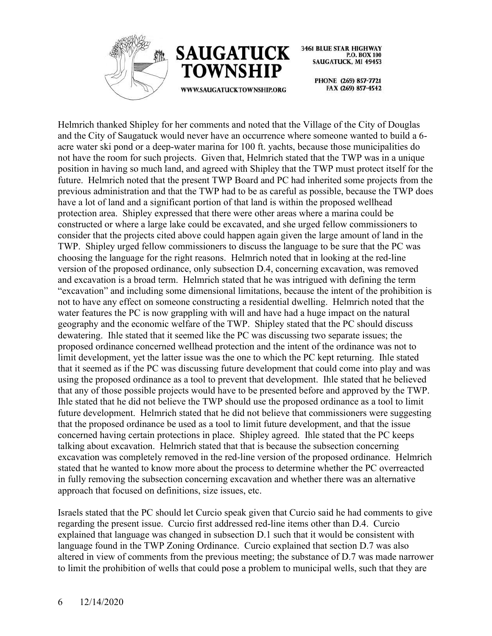



**3461 BLUE STAR HIGHWAY** P.O. BOX 100 **SAUGATUCK, MI 49453** 

> PHONE (269) 857-7721 FAX (269) 857-4542

Helmrich thanked Shipley for her comments and noted that the Village of the City of Douglas and the City of Saugatuck would never have an occurrence where someone wanted to build a 6 acre water ski pond or a deep-water marina for 100 ft. yachts, because those municipalities do not have the room for such projects. Given that, Helmrich stated that the TWP was in a unique position in having so much land, and agreed with Shipley that the TWP must protect itself for the future. Helmrich noted that the present TWP Board and PC had inherited some projects from the previous administration and that the TWP had to be as careful as possible, because the TWP does have a lot of land and a significant portion of that land is within the proposed wellhead protection area. Shipley expressed that there were other areas where a marina could be constructed or where a large lake could be excavated, and she urged fellow commissioners to consider that the projects cited above could happen again given the large amount of land in the TWP. Shipley urged fellow commissioners to discuss the language to be sure that the PC was choosing the language for the right reasons. Helmrich noted that in looking at the red-line version of the proposed ordinance, only subsection D.4, concerning excavation, was removed and excavation is a broad term. Helmrich stated that he was intrigued with defining the term "excavation" and including some dimensional limitations, because the intent of the prohibition is not to have any effect on someone constructing a residential dwelling. Helmrich noted that the water features the PC is now grappling with will and have had a huge impact on the natural geography and the economic welfare of the TWP. Shipley stated that the PC should discuss dewatering. Ihle stated that it seemed like the PC was discussing two separate issues; the proposed ordinance concerned wellhead protection and the intent of the ordinance was not to limit development, yet the latter issue was the one to which the PC kept returning. Ihle stated that it seemed as if the PC was discussing future development that could come into play and was using the proposed ordinance as a tool to prevent that development. Ihle stated that he believed that any of those possible projects would have to be presented before and approved by the TWP. Ihle stated that he did not believe the TWP should use the proposed ordinance as a tool to limit future development. Helmrich stated that he did not believe that commissioners were suggesting that the proposed ordinance be used as a tool to limit future development, and that the issue concerned having certain protections in place. Shipley agreed. Ihle stated that the PC keeps talking about excavation. Helmrich stated that that is because the subsection concerning excavation was completely removed in the red-line version of the proposed ordinance. Helmrich stated that he wanted to know more about the process to determine whether the PC overreacted in fully removing the subsection concerning excavation and whether there was an alternative approach that focused on definitions, size issues, etc.

Israels stated that the PC should let Curcio speak given that Curcio said he had comments to give regarding the present issue. Curcio first addressed red-line items other than D.4. Curcio explained that language was changed in subsection D.1 such that it would be consistent with language found in the TWP Zoning Ordinance. Curcio explained that section D.7 was also altered in view of comments from the previous meeting; the substance of D.7 was made narrower to limit the prohibition of wells that could pose a problem to municipal wells, such that they are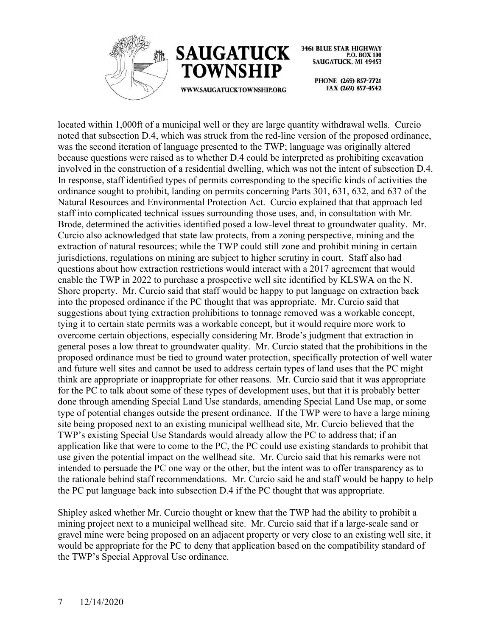



**3461 BLUE STAR HIGHWAY** P.O. BOX 100 **SAUGATUCK, MI 49453** 

> PHONE (269) 857-7721 FAX (269) 857-4542

located within 1,000ft of a municipal well or they are large quantity withdrawal wells. Curcio noted that subsection D.4, which was struck from the red-line version of the proposed ordinance, was the second iteration of language presented to the TWP; language was originally altered because questions were raised as to whether D.4 could be interpreted as prohibiting excavation involved in the construction of a residential dwelling, which was not the intent of subsection D.4. In response, staff identified types of permits corresponding to the specific kinds of activities the ordinance sought to prohibit, landing on permits concerning Parts 301, 631, 632, and 637 of the Natural Resources and Environmental Protection Act. Curcio explained that that approach led staff into complicated technical issues surrounding those uses, and, in consultation with Mr. Brode, determined the activities identified posed a low-level threat to groundwater quality. Mr. Curcio also acknowledged that state law protects, from a zoning perspective, mining and the extraction of natural resources; while the TWP could still zone and prohibit mining in certain jurisdictions, regulations on mining are subject to higher scrutiny in court. Staff also had questions about how extraction restrictions would interact with a 2017 agreement that would enable the TWP in 2022 to purchase a prospective well site identified by KLSWA on the N. Shore property. Mr. Curcio said that staff would be happy to put language on extraction back into the proposed ordinance if the PC thought that was appropriate. Mr. Curcio said that suggestions about tying extraction prohibitions to tonnage removed was a workable concept, tying it to certain state permits was a workable concept, but it would require more work to overcome certain objections, especially considering Mr. Brode's judgment that extraction in general poses a low threat to groundwater quality. Mr. Curcio stated that the prohibitions in the proposed ordinance must be tied to ground water protection, specifically protection of well water and future well sites and cannot be used to address certain types of land uses that the PC might think are appropriate or inappropriate for other reasons. Mr. Curcio said that it was appropriate for the PC to talk about some of these types of development uses, but that it is probably better done through amending Special Land Use standards, amending Special Land Use map, or some type of potential changes outside the present ordinance. If the TWP were to have a large mining site being proposed next to an existing municipal wellhead site, Mr. Curcio believed that the TWP's existing Special Use Standards would already allow the PC to address that; if an application like that were to come to the PC, the PC could use existing standards to prohibit that use given the potential impact on the wellhead site. Mr. Curcio said that his remarks were not intended to persuade the PC one way or the other, but the intent was to offer transparency as to the rationale behind staff recommendations. Mr. Curcio said he and staff would be happy to help the PC put language back into subsection D.4 if the PC thought that was appropriate.

Shipley asked whether Mr. Curcio thought or knew that the TWP had the ability to prohibit a mining project next to a municipal wellhead site. Mr. Curcio said that if a large-scale sand or gravel mine were being proposed on an adjacent property or very close to an existing well site, it would be appropriate for the PC to deny that application based on the compatibility standard of the TWP's Special Approval Use ordinance.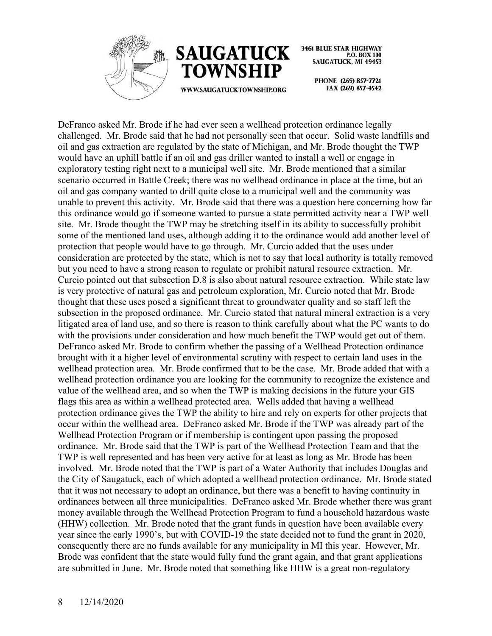



**3461 BLUE STAR HIGHWAY** P.O. BOX 100 **SAUGATUCK, MI 49453** 

> PHONE (269) 857-7721 FAX (269) 857-4542

DeFranco asked Mr. Brode if he had ever seen a wellhead protection ordinance legally challenged. Mr. Brode said that he had not personally seen that occur. Solid waste landfills and oil and gas extraction are regulated by the state of Michigan, and Mr. Brode thought the TWP would have an uphill battle if an oil and gas driller wanted to install a well or engage in exploratory testing right next to a municipal well site. Mr. Brode mentioned that a similar scenario occurred in Battle Creek; there was no wellhead ordinance in place at the time, but an oil and gas company wanted to drill quite close to a municipal well and the community was unable to prevent this activity. Mr. Brode said that there was a question here concerning how far this ordinance would go if someone wanted to pursue a state permitted activity near a TWP well site. Mr. Brode thought the TWP may be stretching itself in its ability to successfully prohibit some of the mentioned land uses, although adding it to the ordinance would add another level of protection that people would have to go through. Mr. Curcio added that the uses under consideration are protected by the state, which is not to say that local authority is totally removed but you need to have a strong reason to regulate or prohibit natural resource extraction. Mr. Curcio pointed out that subsection D.8 is also about natural resource extraction. While state law is very protective of natural gas and petroleum exploration, Mr. Curcio noted that Mr. Brode thought that these uses posed a significant threat to groundwater quality and so staff left the subsection in the proposed ordinance. Mr. Curcio stated that natural mineral extraction is a very litigated area of land use, and so there is reason to think carefully about what the PC wants to do with the provisions under consideration and how much benefit the TWP would get out of them. DeFranco asked Mr. Brode to confirm whether the passing of a Wellhead Protection ordinance brought with it a higher level of environmental scrutiny with respect to certain land uses in the wellhead protection area. Mr. Brode confirmed that to be the case. Mr. Brode added that with a wellhead protection ordinance you are looking for the community to recognize the existence and value of the wellhead area, and so when the TWP is making decisions in the future your GIS flags this area as within a wellhead protected area. Wells added that having a wellhead protection ordinance gives the TWP the ability to hire and rely on experts for other projects that occur within the wellhead area. DeFranco asked Mr. Brode if the TWP was already part of the Wellhead Protection Program or if membership is contingent upon passing the proposed ordinance. Mr. Brode said that the TWP is part of the Wellhead Protection Team and that the TWP is well represented and has been very active for at least as long as Mr. Brode has been involved. Mr. Brode noted that the TWP is part of a Water Authority that includes Douglas and the City of Saugatuck, each of which adopted a wellhead protection ordinance. Mr. Brode stated that it was not necessary to adopt an ordinance, but there was a benefit to having continuity in ordinances between all three municipalities. DeFranco asked Mr. Brode whether there was grant money available through the Wellhead Protection Program to fund a household hazardous waste (HHW) collection. Mr. Brode noted that the grant funds in question have been available every year since the early 1990's, but with COVID-19 the state decided not to fund the grant in 2020, consequently there are no funds available for any municipality in MI this year. However, Mr. Brode was confident that the state would fully fund the grant again, and that grant applications are submitted in June. Mr. Brode noted that something like HHW is a great non-regulatory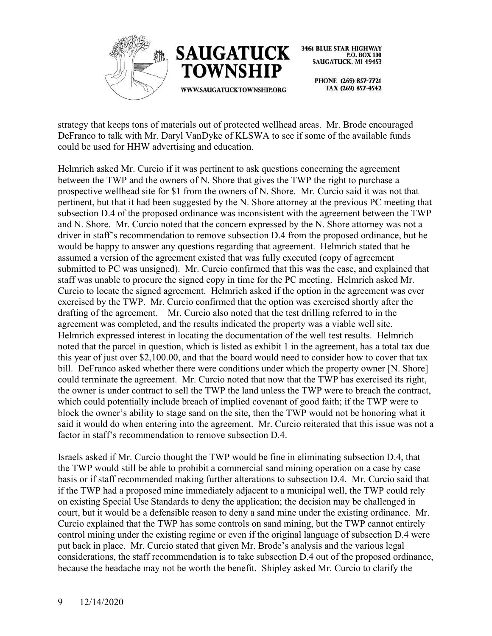



> PHONE (269) 857-7721 FAX (269) 857-4542

strategy that keeps tons of materials out of protected wellhead areas. Mr. Brode encouraged DeFranco to talk with Mr. Daryl VanDyke of KLSWA to see if some of the available funds could be used for HHW advertising and education.

Helmrich asked Mr. Curcio if it was pertinent to ask questions concerning the agreement between the TWP and the owners of N. Shore that gives the TWP the right to purchase a prospective wellhead site for \$1 from the owners of N. Shore. Mr. Curcio said it was not that pertinent, but that it had been suggested by the N. Shore attorney at the previous PC meeting that subsection D.4 of the proposed ordinance was inconsistent with the agreement between the TWP and N. Shore. Mr. Curcio noted that the concern expressed by the N. Shore attorney was not a driver in staff's recommendation to remove subsection D.4 from the proposed ordinance, but he would be happy to answer any questions regarding that agreement. Helmrich stated that he assumed a version of the agreement existed that was fully executed (copy of agreement submitted to PC was unsigned). Mr. Curcio confirmed that this was the case, and explained that staff was unable to procure the signed copy in time for the PC meeting. Helmrich asked Mr. Curcio to locate the signed agreement. Helmrich asked if the option in the agreement was ever exercised by the TWP. Mr. Curcio confirmed that the option was exercised shortly after the drafting of the agreement. Mr. Curcio also noted that the test drilling referred to in the agreement was completed, and the results indicated the property was a viable well site. Helmrich expressed interest in locating the documentation of the well test results. Helmrich noted that the parcel in question, which is listed as exhibit 1 in the agreement, has a total tax due this year of just over \$2,100.00, and that the board would need to consider how to cover that tax bill. DeFranco asked whether there were conditions under which the property owner [N. Shore] could terminate the agreement. Mr. Curcio noted that now that the TWP has exercised its right, the owner is under contract to sell the TWP the land unless the TWP were to breach the contract, which could potentially include breach of implied covenant of good faith; if the TWP were to block the owner's ability to stage sand on the site, then the TWP would not be honoring what it said it would do when entering into the agreement. Mr. Curcio reiterated that this issue was not a factor in staff's recommendation to remove subsection D.4.

Israels asked if Mr. Curcio thought the TWP would be fine in eliminating subsection D.4, that the TWP would still be able to prohibit a commercial sand mining operation on a case by case basis or if staff recommended making further alterations to subsection D.4. Mr. Curcio said that if the TWP had a proposed mine immediately adjacent to a municipal well, the TWP could rely on existing Special Use Standards to deny the application; the decision may be challenged in court, but it would be a defensible reason to deny a sand mine under the existing ordinance. Mr. Curcio explained that the TWP has some controls on sand mining, but the TWP cannot entirely control mining under the existing regime or even if the original language of subsection D.4 were put back in place. Mr. Curcio stated that given Mr. Brode's analysis and the various legal considerations, the staff recommendation is to take subsection D.4 out of the proposed ordinance, because the headache may not be worth the benefit. Shipley asked Mr. Curcio to clarify the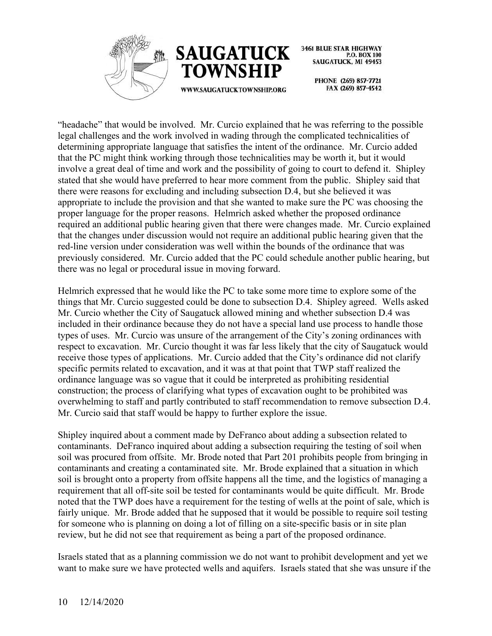



WWW.SAUGATUCKTOWNSHIP.ORG

PHONE (269) 857-7721 FAX (269) 857-4542

"headache" that would be involved. Mr. Curcio explained that he was referring to the possible legal challenges and the work involved in wading through the complicated technicalities of determining appropriate language that satisfies the intent of the ordinance. Mr. Curcio added that the PC might think working through those technicalities may be worth it, but it would involve a great deal of time and work and the possibility of going to court to defend it. Shipley stated that she would have preferred to hear more comment from the public. Shipley said that there were reasons for excluding and including subsection D.4, but she believed it was appropriate to include the provision and that she wanted to make sure the PC was choosing the proper language for the proper reasons. Helmrich asked whether the proposed ordinance required an additional public hearing given that there were changes made. Mr. Curcio explained that the changes under discussion would not require an additional public hearing given that the red-line version under consideration was well within the bounds of the ordinance that was previously considered. Mr. Curcio added that the PC could schedule another public hearing, but there was no legal or procedural issue in moving forward.

Helmrich expressed that he would like the PC to take some more time to explore some of the things that Mr. Curcio suggested could be done to subsection D.4. Shipley agreed. Wells asked Mr. Curcio whether the City of Saugatuck allowed mining and whether subsection D.4 was included in their ordinance because they do not have a special land use process to handle those types of uses. Mr. Curcio was unsure of the arrangement of the City's zoning ordinances with respect to excavation. Mr. Curcio thought it was far less likely that the city of Saugatuck would receive those types of applications. Mr. Curcio added that the City's ordinance did not clarify specific permits related to excavation, and it was at that point that TWP staff realized the ordinance language was so vague that it could be interpreted as prohibiting residential construction; the process of clarifying what types of excavation ought to be prohibited was overwhelming to staff and partly contributed to staff recommendation to remove subsection D.4. Mr. Curcio said that staff would be happy to further explore the issue.

Shipley inquired about a comment made by DeFranco about adding a subsection related to contaminants. DeFranco inquired about adding a subsection requiring the testing of soil when soil was procured from offsite. Mr. Brode noted that Part 201 prohibits people from bringing in contaminants and creating a contaminated site. Mr. Brode explained that a situation in which soil is brought onto a property from offsite happens all the time, and the logistics of managing a requirement that all off-site soil be tested for contaminants would be quite difficult. Mr. Brode noted that the TWP does have a requirement for the testing of wells at the point of sale, which is fairly unique. Mr. Brode added that he supposed that it would be possible to require soil testing for someone who is planning on doing a lot of filling on a site-specific basis or in site plan review, but he did not see that requirement as being a part of the proposed ordinance.

Israels stated that as a planning commission we do not want to prohibit development and yet we want to make sure we have protected wells and aquifers. Israels stated that she was unsure if the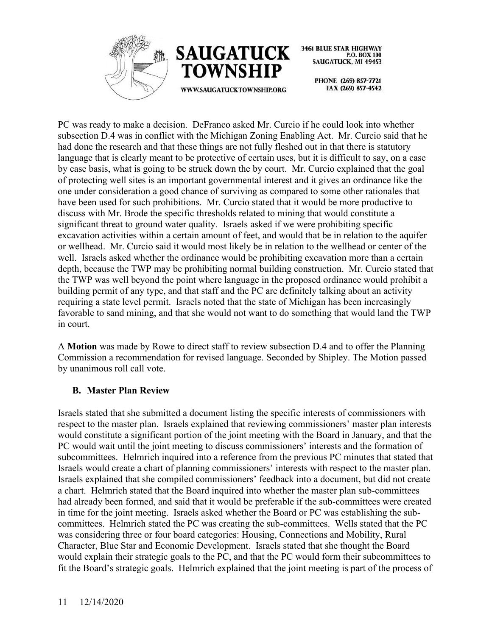



**3461 BLUE STAR HIGHWAY** P.O. BOX 100 **SAUGATUCK, MI 49453** 

> PHONE (269) 857-7721 FAX (269) 857-4542

PC was ready to make a decision. DeFranco asked Mr. Curcio if he could look into whether subsection D.4 was in conflict with the Michigan Zoning Enabling Act. Mr. Curcio said that he had done the research and that these things are not fully fleshed out in that there is statutory language that is clearly meant to be protective of certain uses, but it is difficult to say, on a case by case basis, what is going to be struck down the by court. Mr. Curcio explained that the goal of protecting well sites is an important governmental interest and it gives an ordinance like the one under consideration a good chance of surviving as compared to some other rationales that have been used for such prohibitions. Mr. Curcio stated that it would be more productive to discuss with Mr. Brode the specific thresholds related to mining that would constitute a significant threat to ground water quality. Israels asked if we were prohibiting specific excavation activities within a certain amount of feet, and would that be in relation to the aquifer or wellhead. Mr. Curcio said it would most likely be in relation to the wellhead or center of the well. Israels asked whether the ordinance would be prohibiting excavation more than a certain depth, because the TWP may be prohibiting normal building construction. Mr. Curcio stated that the TWP was well beyond the point where language in the proposed ordinance would prohibit a building permit of any type, and that staff and the PC are definitely talking about an activity requiring a state level permit. Israels noted that the state of Michigan has been increasingly favorable to sand mining, and that she would not want to do something that would land the TWP in court.

A **Motion** was made by Rowe to direct staff to review subsection D.4 and to offer the Planning Commission a recommendation for revised language. Seconded by Shipley. The Motion passed by unanimous roll call vote.

#### **B. Master Plan Review**

Israels stated that she submitted a document listing the specific interests of commissioners with respect to the master plan. Israels explained that reviewing commissioners' master plan interests would constitute a significant portion of the joint meeting with the Board in January, and that the PC would wait until the joint meeting to discuss commissioners' interests and the formation of subcommittees. Helmrich inquired into a reference from the previous PC minutes that stated that Israels would create a chart of planning commissioners' interests with respect to the master plan. Israels explained that she compiled commissioners' feedback into a document, but did not create a chart. Helmrich stated that the Board inquired into whether the master plan sub-committees had already been formed, and said that it would be preferable if the sub-committees were created in time for the joint meeting. Israels asked whether the Board or PC was establishing the subcommittees. Helmrich stated the PC was creating the sub-committees. Wells stated that the PC was considering three or four board categories: Housing, Connections and Mobility, Rural Character, Blue Star and Economic Development. Israels stated that she thought the Board would explain their strategic goals to the PC, and that the PC would form their subcommittees to fit the Board's strategic goals. Helmrich explained that the joint meeting is part of the process of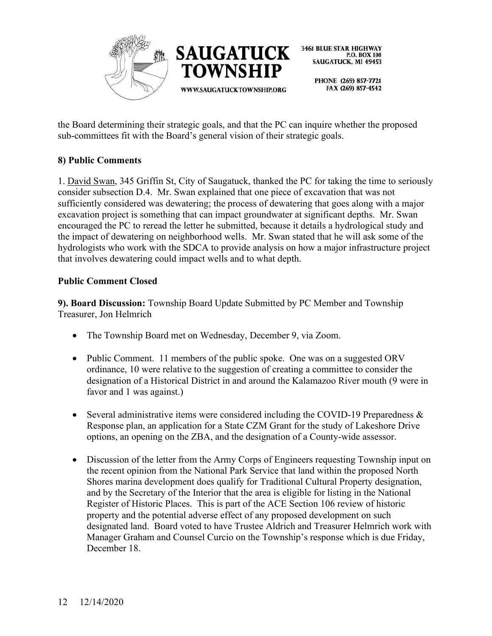

> PHONE (269) 857-7721 FAX (269) 857-4542

the Board determining their strategic goals, and that the PC can inquire whether the proposed sub-committees fit with the Board's general vision of their strategic goals.

# **8) Public Comments**

1. David Swan, 345 Griffin St, City of Saugatuck, thanked the PC for taking the time to seriously consider subsection D.4. Mr. Swan explained that one piece of excavation that was not sufficiently considered was dewatering; the process of dewatering that goes along with a major excavation project is something that can impact groundwater at significant depths. Mr. Swan encouraged the PC to reread the letter he submitted, because it details a hydrological study and the impact of dewatering on neighborhood wells. Mr. Swan stated that he will ask some of the hydrologists who work with the SDCA to provide analysis on how a major infrastructure project that involves dewatering could impact wells and to what depth.

# **Public Comment Closed**

**9). Board Discussion:** Township Board Update Submitted by PC Member and Township Treasurer, Jon Helmrich

- The Township Board met on Wednesday, December 9, via Zoom.
- Public Comment. 11 members of the public spoke. One was on a suggested ORV ordinance, 10 were relative to the suggestion of creating a committee to consider the designation of a Historical District in and around the Kalamazoo River mouth (9 were in favor and 1 was against.)
- Several administrative items were considered including the COVID-19 Preparedness & Response plan, an application for a State CZM Grant for the study of Lakeshore Drive options, an opening on the ZBA, and the designation of a County-wide assessor.
- Discussion of the letter from the Army Corps of Engineers requesting Township input on the recent opinion from the National Park Service that land within the proposed North Shores marina development does qualify for Traditional Cultural Property designation, and by the Secretary of the Interior that the area is eligible for listing in the National Register of Historic Places. This is part of the ACE Section 106 review of historic property and the potential adverse effect of any proposed development on such designated land. Board voted to have Trustee Aldrich and Treasurer Helmrich work with Manager Graham and Counsel Curcio on the Township's response which is due Friday, December 18.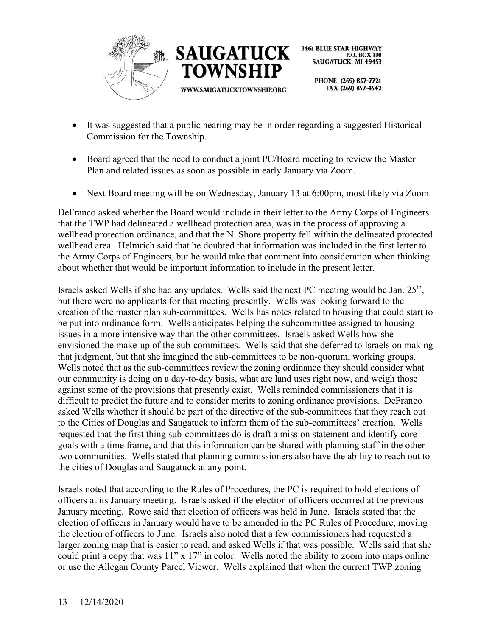



> PHONE (269) 857-7721 FAX (269) 857-4542

- It was suggested that a public hearing may be in order regarding a suggested Historical Commission for the Township.
- Board agreed that the need to conduct a joint PC/Board meeting to review the Master Plan and related issues as soon as possible in early January via Zoom.
- Next Board meeting will be on Wednesday, January 13 at 6:00pm, most likely via Zoom.

DeFranco asked whether the Board would include in their letter to the Army Corps of Engineers that the TWP had delineated a wellhead protection area, was in the process of approving a wellhead protection ordinance, and that the N. Shore property fell within the delineated protected wellhead area. Helmrich said that he doubted that information was included in the first letter to the Army Corps of Engineers, but he would take that comment into consideration when thinking about whether that would be important information to include in the present letter.

Israels asked Wells if she had any updates. Wells said the next PC meeting would be Jan. 25<sup>th</sup>, but there were no applicants for that meeting presently. Wells was looking forward to the creation of the master plan sub-committees. Wells has notes related to housing that could start to be put into ordinance form. Wells anticipates helping the subcommittee assigned to housing issues in a more intensive way than the other committees. Israels asked Wells how she envisioned the make-up of the sub-committees. Wells said that she deferred to Israels on making that judgment, but that she imagined the sub-committees to be non-quorum, working groups. Wells noted that as the sub-committees review the zoning ordinance they should consider what our community is doing on a day-to-day basis, what are land uses right now, and weigh those against some of the provisions that presently exist. Wells reminded commissioners that it is difficult to predict the future and to consider merits to zoning ordinance provisions. DeFranco asked Wells whether it should be part of the directive of the sub-committees that they reach out to the Cities of Douglas and Saugatuck to inform them of the sub-committees' creation. Wells requested that the first thing sub-committees do is draft a mission statement and identify core goals with a time frame, and that this information can be shared with planning staff in the other two communities. Wells stated that planning commissioners also have the ability to reach out to the cities of Douglas and Saugatuck at any point.

Israels noted that according to the Rules of Procedures, the PC is required to hold elections of officers at its January meeting. Israels asked if the election of officers occurred at the previous January meeting. Rowe said that election of officers was held in June. Israels stated that the election of officers in January would have to be amended in the PC Rules of Procedure, moving the election of officers to June. Israels also noted that a few commissioners had requested a larger zoning map that is easier to read, and asked Wells if that was possible. Wells said that she could print a copy that was 11" x 17" in color. Wells noted the ability to zoom into maps online or use the Allegan County Parcel Viewer. Wells explained that when the current TWP zoning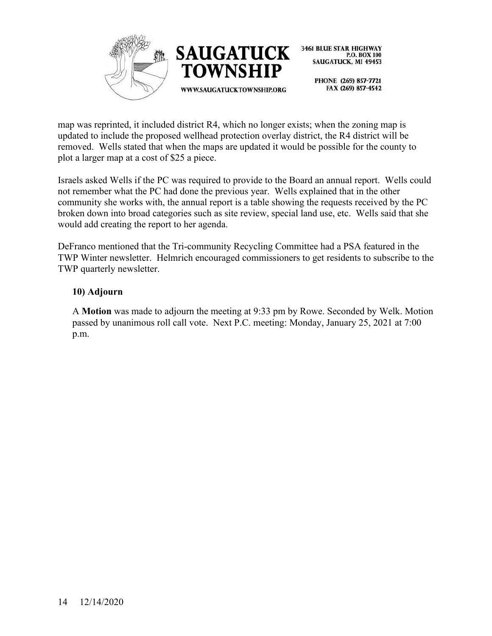



> PHONE (269) 857-7721 FAX (269) 857-4542

map was reprinted, it included district R4, which no longer exists; when the zoning map is updated to include the proposed wellhead protection overlay district, the R4 district will be removed. Wells stated that when the maps are updated it would be possible for the county to plot a larger map at a cost of \$25 a piece.

Israels asked Wells if the PC was required to provide to the Board an annual report. Wells could not remember what the PC had done the previous year. Wells explained that in the other community she works with, the annual report is a table showing the requests received by the PC broken down into broad categories such as site review, special land use, etc. Wells said that she would add creating the report to her agenda.

DeFranco mentioned that the Tri-community Recycling Committee had a PSA featured in the TWP Winter newsletter. Helmrich encouraged commissioners to get residents to subscribe to the TWP quarterly newsletter.

## **10) Adjourn**

A **Motion** was made to adjourn the meeting at 9:33 pm by Rowe. Seconded by Welk. Motion passed by unanimous roll call vote. Next P.C. meeting: Monday, January 25, 2021 at 7:00 p.m.